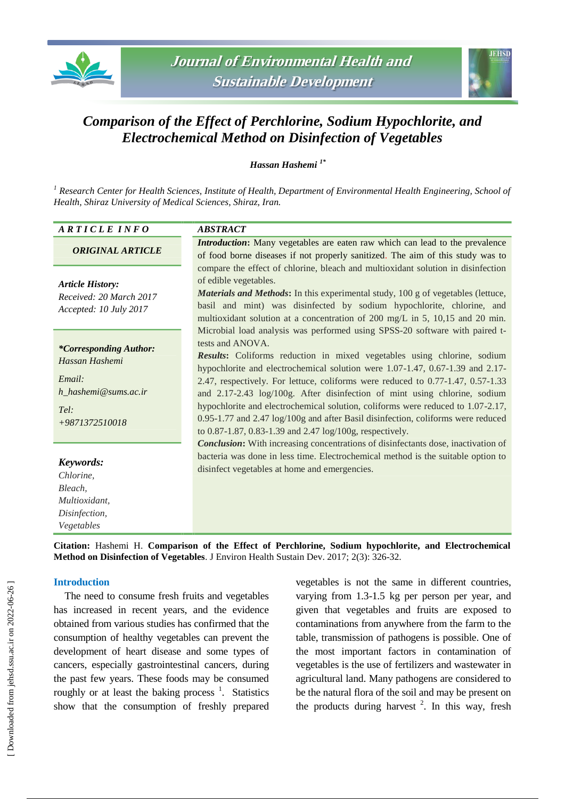



# *Comparison of the Effect of Perchlorine, Sodium Hypochlorite, and Electrochemical Method on Disinfection of Vegetables*

*Hassan Hashemi 1\**

*<sup>1</sup> Research Center for Health Sciences, Institute of Health, Department of Environmental Health Engineering, School of Health, Shiraz University of Medical Sciences, Shiraz, Iran.* 

# *A R T I C L E I N F O ABSTRACT*

#### *ORIGINAL ARTICLE*

*Article History: Received: 20 March 2017 Accepted: 10 July 2017*

#### *\*Corresponding Author: Hassan Hashemi*

*Email: h\_hashemi@sums.ac.ir*

*Tel: +9871372510018*

# *Keywords:*

*Chlorine, Bleach, Multioxidant, Disinfection, Vegetables*

*Introduction***:** Many vegetables are eaten raw which can lead to the prevalence of food borne diseases if not properly sanitized. The aim of this study was to compare the effect of chlorine, bleach and multioxidant solution in disinfection of edible vegetables.

*Materials and Methods***:** In this experimental study, 100 g of vegetables (lettuce, basil and mint) was disinfected by sodium hypochlorite, chlorine, and multioxidant solution at a concentration of 200 mg/L in 5, 10,15 and 20 min. Microbial load analysis was performed using SPSS-20 software with paired ttests and ANOVA.

*Results***:** Coliforms reduction in mixed vegetables using chlorine, sodium hypochlorite and electrochemical solution were 1.07-1.47, 0.67-1.39 and 2.17- 2.47, respectively. For lettuce, coliforms were reduced to 0.77-1.47, 0.57-1.33 and 2.17-2.43 log/100g. After disinfection of mint using chlorine, sodium hypochlorite and electrochemical solution, coliforms were reduced to 1.07-2.17, 0.95-1.77 and 2.47 log/100g and after Basil disinfection, coliforms were reduced to 0.87-1.87, 0.83-1.39 and 2.47 log/100g, respectively.

*Conclusion***:** With increasing concentrations of disinfectants dose, inactivation of bacteria was done in less time. Electrochemical method is the suitable option to disinfect vegetables at home and emergencies.

**Citation:** Hashemi H. **Comparison of the Effect of Perchlorine, Sodium hypochlorite, and Electrochemical Method on Disinfection of Vegetables**. J Environ Health Sustain Dev. 2017; 2(3): 326-32.

# **Introduction**

The need to consume fresh fruits and vegetables has increased in recent years, and the evidence obtained from various studies has confirmed that the consumption of healthy vegetables can prevent the development of heart disease and some types of cancers, especially gastrointestinal cancers, during the past few years. These foods may be consumed roughly or at least the baking process  $\frac{1}{1}$ . Statistics show that the consumption of freshly prepared

vegetables is not the same in different countries, varying from 1.3-1.5 kg per person per year, and given that vegetables and fruits are exposed to contaminations from anywhere from the farm to the table, transmission of pathogens is possible. One of the most important factors in contamination of vegetables is the use of fertilizers and wastewater in agricultural land. Many pathogens are considered to be the natural flora of the soil and may be present on the products during harvest  $2$ . In this way, fresh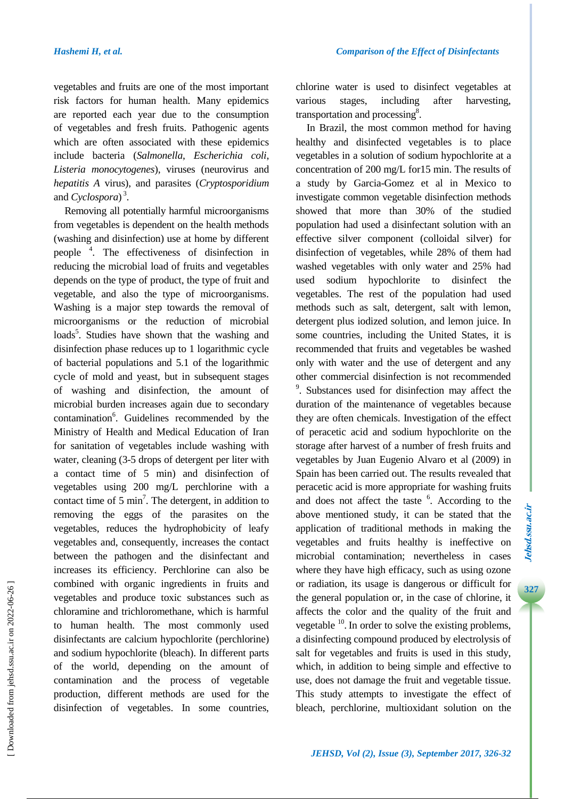vegetables and fruits are one of the most important risk factors for human health. Many epidemics are reported each year due to the consumption of vegetables and fresh fruits. Pathogenic agents which are often associated with these epidemics include bacteria (*Salmonella*, *Escherichia coli*, *Listeria monocytogenes*), viruses (neurovirus and *hepatitis A* virus), and parasites (*Cryptosporidium* and *Cyclospora*) 3 .

Removing all potentially harmful microorganisms from vegetables is dependent on the health methods (washing and disinfection) use at home by different people <sup>4</sup> . The effectiveness of disinfection in reducing the microbial load of fruits and vegetables depends on the type of product, the type of fruit and vegetable, and also the type of microorganisms. Washing is a major step towards the removal of microorganisms or the reduction of microbial loads<sup>5</sup>. Studies have shown that the washing and disinfection phase reduces up to 1 logarithmic cycle of bacterial populations and 5.1 of the logarithmic cycle of mold and yeast, but in subsequent stages of washing and disinfection, the amount of microbial burden increases again due to secondary contamination<sup>6</sup>. Guidelines recommended by the Ministry of Health and Medical Education of Iran for sanitation of vegetables include washing with water, cleaning (3-5 drops of detergent per liter with a contact time of 5 min) and disinfection of vegetables using 200 mg/L perchlorine with a contact time of  $5 \text{ min}^7$ . The detergent, in addition to removing the eggs of the parasites on the vegetables, reduces the hydrophobicity of leafy vegetables and, consequently, increases the contact between the pathogen and the disinfectant and increases its efficiency. Perchlorine can also be combined with organic ingredients in fruits and vegetables and produce toxic substances such as chloramine and trichloromethane, which is harmful to human health. The most commonly used disinfectants are calcium hypochlorite (perchlorine) and sodium hypochlorite (bleach). In different parts of the world, depending on the amount of contamination and the process of vegetable production, different methods are used for the disinfection of vegetables. In some countries,

chlorine water is used to disinfect vegetables at various stages, including after harvesting, transportation and processing<sup>8</sup>.

In Brazil, the most common method for having healthy and disinfected vegetables is to place vegetables in a solution of sodium hypochlorite at a concentration of 200 mg/L for15 min. The results of a study by Garcia-Gomez et al in Mexico to investigate common vegetable disinfection methods showed that more than 30% of the studied population had used a disinfectant solution with an effective silver component (colloidal silver) for disinfection of vegetables, while 28% of them had washed vegetables with only water and 25% had used sodium hypochlorite to disinfect the vegetables. The rest of the population had used methods such as salt, detergent, salt with lemon, detergent plus iodized solution, and lemon juice. In some countries, including the United States, it is recommended that fruits and vegetables be washed only with water and the use of detergent and any other commercial disinfection is not recommended <sup>9</sup>. Substances used for disinfection may affect the duration of the maintenance of vegetables because they are often chemicals. Investigation of the effect of peracetic acid and sodium hypochlorite on the storage after harvest of a number of fresh fruits and vegetables by Juan Eugenio Alvaro et al (2009) in Spain has been carried out. The results revealed that peracetic acid is more appropriate for washing fruits and does not affect the taste <sup>6</sup>. According to the above mentioned study, it can be stated that the application of traditional methods in making the vegetables and fruits healthy is ineffective on microbial contamination; nevertheless in cases where they have high efficacy, such as using ozone or radiation, its usage is dangerous or difficult for the general population or, in the case of chlorine, it affects the color and the quality of the fruit and vegetable <sup>10</sup>. In order to solve the existing problems, a disinfecting compound produced by electrolysis of salt for vegetables and fruits is used in this study, which, in addition to being simple and effective to use, does not damage the fruit and vegetable tissue. This study attempts to investigate the effect of bleach, perchlorine, multioxidant solution on the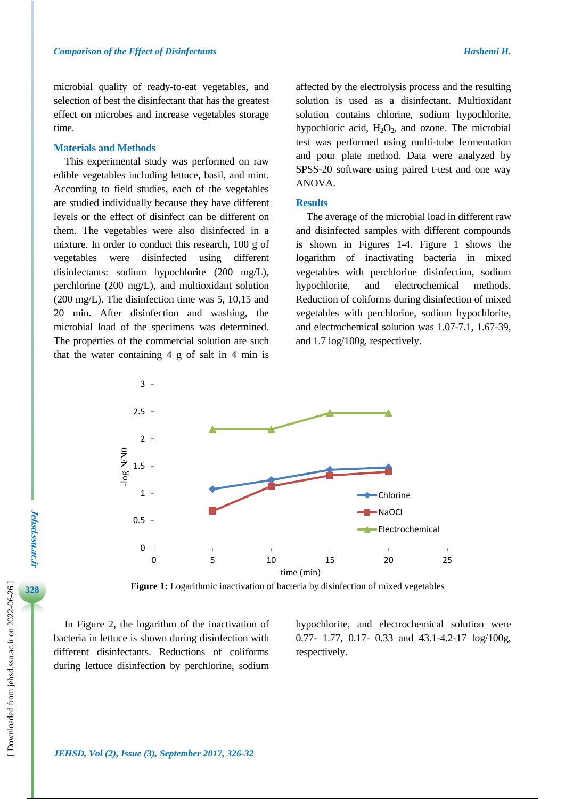microbial quality of ready-to-eat vegetables, and selection of best the disinfectant that has the greatest effect on microbes and increase vegetables storage time.

#### **Materials and Methods**

This experimental study was performed on raw edible vegetables including lettuce, basil, and mint. According to field studies, each of the vegetables are studied individually because they have different levels or the effect of disinfect can be different on them. The vegetables were also disinfected in a mixture. In order to conduct this research, 100 g of vegetables were disinfected using different disinfectants: sodium hypochlorite (200 mg/L), perchlorine (200 mg/L), and multioxidant solution (200 mg/L). The disinfection time was 5, 10,15 and 20 min. After disinfection and washing, the microbial load of the specimens was determined. The properties of the commercial solution are such that the water containing 4 g of salt in 4 min is

affected by the electrolysis process and the resulting solution is used as a disinfectant. Multioxidant solution contains chlorine, sodium hypochlorite, hypochloric acid,  $H_2O_2$ , and ozone. The microbial test was performed using multi-tube fermentation and pour plate method. Data were analyzed by SPSS-20 software using paired t-test and one way ANOVA.

#### **Results**

The average of the microbial load in different raw and disinfected samples with different compounds is shown in Figures 1-4. Figure 1 shows the logarithm of inactivating bacteria in mixed vegetables with perchlorine disinfection, sodium hypochlorite, and electrochemical methods. Reduction of coliforms during disinfection of mixed vegetables with perchlorine, sodium hypochlorite, and electrochemical solution was 1.07-7.1, 1.67-39, and 1.7 log/100g, respectively.



**Figure 1:** Logarithmic inactivation of bacteria by disinfection of mixed vegetables

In Figure 2, the logarithm of the inactivation of bacteria in lettuce is shown during disinfection with different disinfectants. Reductions of coliforms during lettuce disinfection by perchlorine, sodium

hypochlorite, and electrochemical solution were 0.77- 1.77, 0.17- 0.33 and 43.1-4.2-17 log/100g, respectively.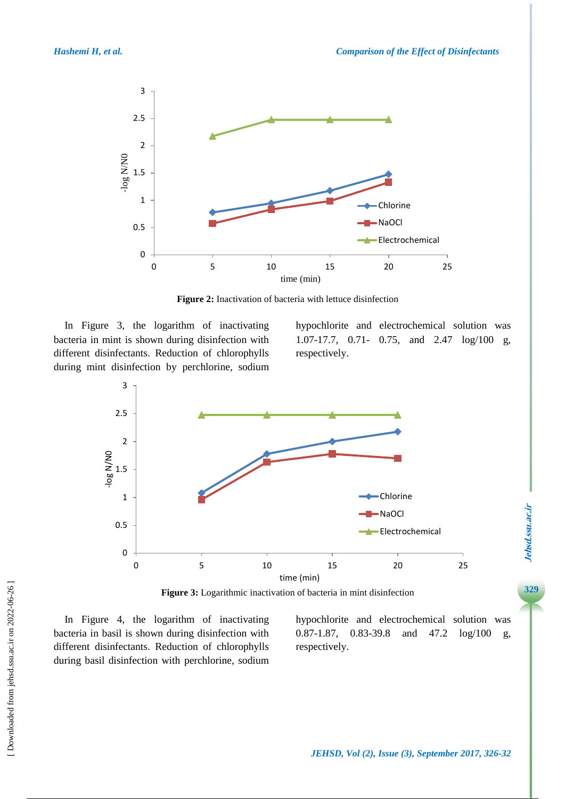

**Figure 2:** Inactivation of bacteria with lettuce disinfection

In Figure 3, the logarithm of inactivating bacteria in mint is shown during disinfection with different disinfectants. Reduction of chlorophylls during mint disinfection by perchlorine, sodium hypochlorite and electrochemical solution was 1.07-17.7, 0.71- 0.75, and 2.47 log/100 g, respectively.



In Figure 4, the logarithm of inactivating bacteria in basil is shown during disinfection with different disinfectants. Reduction of chlorophylls during basil disinfection with perchlorine, sodium hypochlorite and electrochemical solution was 0.87-1.87, 0.83-39.8 and 47.2 log/100 g, respectively.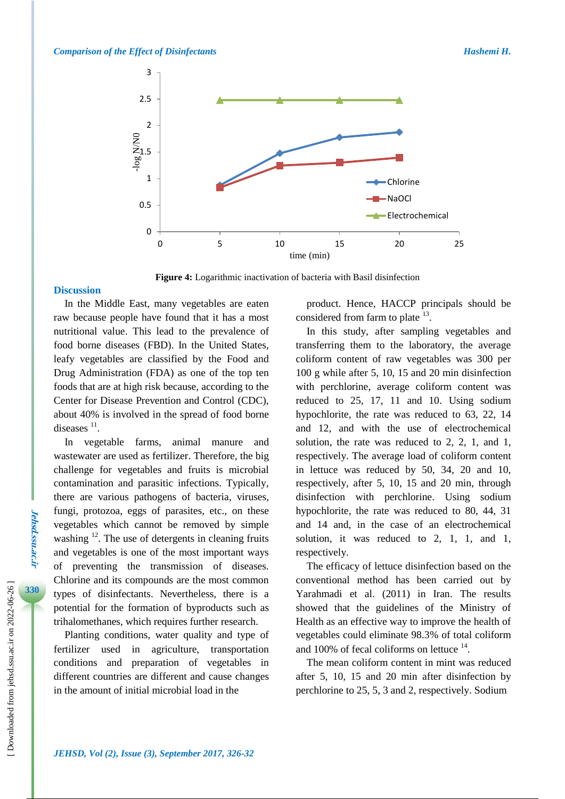

**Figure 4:** Logarithmic inactivation of bacteria with Basil disinfection

#### **Discussion**

In the Middle East, many vegetables are eaten raw because people have found that it has a most nutritional value. This lead to the prevalence of food borne diseases (FBD). In the United States, leafy vegetables are classified by the Food and Drug Administration (FDA) as one of the top ten foods that are at high risk because, according to the Center for Disease Prevention and Control (CDC), about 40% is involved in the spread of food borne diseases  $11$ .

In vegetable farms, animal manure and wastewater are used as fertilizer. Therefore, the big challenge for vegetables and fruits is microbial contamination and parasitic infections. Typically, there are various pathogens of bacteria, viruses, fungi, protozoa, eggs of parasites, etc., on these vegetables which cannot be removed by simple washing  $12$ . The use of detergents in cleaning fruits and vegetables is one of the most important ways of preventing the transmission of diseases. Chlorine and its compounds are the most common types of disinfectants. Nevertheless, there is a potential for the formation of byproducts such as trihalomethanes, which requires further research.

Planting conditions, water quality and type of fertilizer used in agriculture, transportation conditions and preparation of vegetables in different countries are different and cause changes in the amount of initial microbial load in the

product. Hence, HACCP principals should be considered from farm to plate  $^{13}$ .

In this study, after sampling vegetables and transferring them to the laboratory, the average coliform content of raw vegetables was 300 per 100 g while after 5, 10, 15 and 20 min disinfection with perchlorine, average coliform content was reduced to 25, 17, 11 and 10. Using sodium hypochlorite, the rate was reduced to 63, 22, 14 and 12, and with the use of electrochemical solution, the rate was reduced to 2, 2, 1, and 1, respectively. The average load of coliform content in lettuce was reduced by 50, 34, 20 and 10, respectively, after 5, 10, 15 and 20 min, through disinfection with perchlorine. Using sodium hypochlorite, the rate was reduced to 80, 44, 31 and 14 and, in the case of an electrochemical solution, it was reduced to 2, 1, 1, and 1, respectively.

The efficacy of lettuce disinfection based on the conventional method has been carried out by Yarahmadi et al. (2011) in Iran. The results showed that the guidelines of the Ministry of Health as an effective way to improve the health of vegetables could eliminate 98.3% of total coliform and 100% of fecal coliforms on lettuce  $14$ .

The mean coliform content in mint was reduced after 5, 10, 15 and 20 min after disinfection by perchlorine to 25, 5, 3 and 2, respectively. Sodium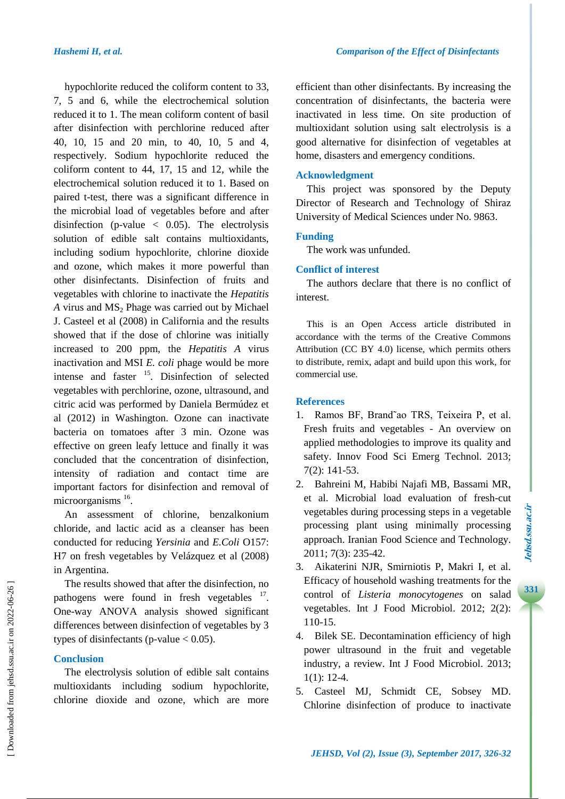hypochlorite reduced the coliform content to 33, 7, 5 and 6, while the electrochemical solution reduced it to 1. The mean coliform content of basil after disinfection with perchlorine reduced after 40, 10, 15 and 20 min, to 40, 10, 5 and 4, respectively. Sodium hypochlorite reduced the coliform content to 44, 17, 15 and 12, while the electrochemical solution reduced it to 1. Based on paired t-test, there was a significant difference in the microbial load of vegetables before and after disinfection (p-value  $\langle 0.05 \rangle$ ). The electrolysis solution of edible salt contains multioxidants, including sodium hypochlorite, chlorine dioxide and ozone, which makes it more powerful than other disinfectants. Disinfection of fruits and vegetables with chlorine to inactivate the *Hepatitis*   $A$  virus and  $MS<sub>2</sub>$  Phage was carried out by Michael J. Casteel et al (2008) in California and the results showed that if the dose of chlorine was initially increased to 200 ppm, the *Hepatitis A* virus inactivation and MSI *E. coli* phage would be more intense and faster <sup>15</sup>. Disinfection of selected vegetables with perchlorine, ozone, ultrasound, and citric acid was performed by Daniela Bermúdez et al (2012) in Washington. Ozone can inactivate bacteria on tomatoes after 3 min. Ozone was effective on green leafy lettuce and finally it was concluded that the concentration of disinfection, intensity of radiation and contact time are important factors for disinfection and removal of microorganisms <sup>16</sup>.

An assessment of chlorine, benzalkonium chloride, and lactic acid as a cleanser has been conducted for reducing *Yersinia* and *E.Coli* O157: H7 on fresh vegetables by Velázquez et al (2008) in Argentina.

The results showed that after the disinfection, no pathogens were found in fresh vegetables  $17$ . One-way ANOVA analysis showed significant differences between disinfection of vegetables by 3 types of disinfectants (p-value  $< 0.05$ ).

# **Conclusion**

The electrolysis solution of edible salt contains multioxidants including sodium hypochlorite, chlorine dioxide and ozone, which are more efficient than other disinfectants. By increasing the concentration of disinfectants, the bacteria were inactivated in less time. On site production of multioxidant solution using salt electrolysis is a good alternative for disinfection of vegetables at home, disasters and emergency conditions.

# **Acknowledgment**

This project was sponsored by the Deputy Director of Research and Technology of Shiraz University of Medical Sciences under No. 9863.

# **Funding**

The work was unfunded.

# **Conflict of interest**

The authors declare that there is no conflict of interest.

This is an Open Access article distributed in accordance with the terms of the Creative Commons Attribution (CC BY 4.0) license, which permits others to distribute, remix, adapt and build upon this work, for commercial use.

# **References**

- 1. Ramos BF, Brand˜ao TRS, Teixeira P, et al. Fresh fruits and vegetables - An overview on applied methodologies to improve its quality and safety. Innov Food Sci Emerg Technol. 2013; 7(2): 141-53.
- 2. Bahreini M, Habibi Najafi MB, Bassami MR, et al. Microbial load evaluation of fresh-cut vegetables during processing steps in a vegetable processing plant using minimally processing approach. Iranian Food Science and Technology. 2011; 7(3): 235-42.
- 3. Aikaterini NJR, Smirniotis P, Makri I, et al. Efficacy of household washing treatments for the control of *Listeria monocytogenes* on salad vegetables. Int J Food Microbiol. 2012; 2(2): 110-15.
- 4. Bilek SE. Decontamination efficiency of high power ultrasound in the fruit and vegetable industry, a review. Int J Food Microbiol. 2013; 1(1): 12-4.
- 5. Casteel MJ, Schmidt CE, Sobsey MD. Chlorine disinfection of produce to inactivate